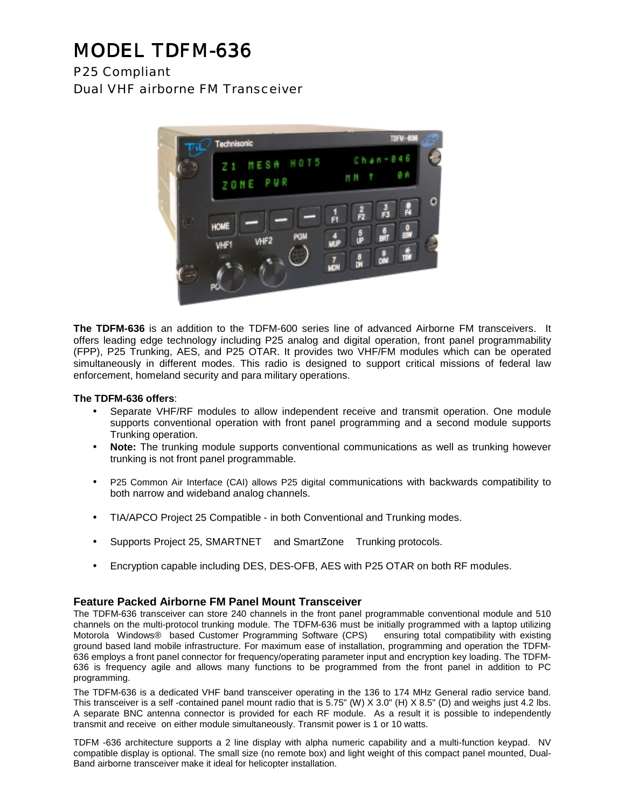# MODEL TDFM-636

P25 Compliant Dual VHF airborne FM Transceiver



**The TDFM-636** is an addition to the TDFM-600 series line of advanced Airborne FM transceivers. It offers leading edge technology including P25 analog and digital operation, front panel programmability (FPP), P25 Trunking, AES, and P25 OTAR. It provides two VHF/FM modules which can be operated simultaneously in different modes. This radio is designed to support critical missions of federal law enforcement, homeland security and para military operations.

#### **The TDFM-636 offers**:

- Separate VHF/RF modules to allow independent receive and transmit operation. One module supports conventional operation with front panel programming and a second module supports Trunking operation.
- **Note:** The trunking module supports conventional communications as well as trunking however trunking is not front panel programmable.
- P25 Common Air Interface (CAI) allows P25 digital communications with backwards compatibility to both narrow and wideband analog channels.
- TIA/APCO Project 25 Compatible in both Conventional and Trunking modes.
- Supports Project 25, SMARTNET™ and SmartZone™ Trunking protocols.
- Encryption capable including DES, DES-OFB, AES with P25 OTAR on both RF modules.

#### **Feature Packed Airborne FM Panel Mount Transceiver**

The TDFM-636 transceiver can store 240 channels in the front panel programmable conventional module and 510 channels on the multi-protocol trunking module. The TDFM-636 must be initially programmed with a laptop utilizing Motorola Windows® based Customer Programming Software (CPS)™ ensuring total compatibility with existing ground based land mobile infrastructure. For maximum ease of installation, programming and operation the TDFM-636 employs a front panel connector for frequency/operating parameter input and encryption key loading. The TDFM-636 is frequency agile and allows many functions to be programmed from the front panel in addition to PC programming.

The TDFM-636 is a dedicated VHF band transceiver operating in the 136 to 174 MHz General radio service band. This transceiver is a self -contained panel mount radio that is 5.75" (W) X 3.0" (H) X 8.5" (D) and weighs just 4.2 lbs. A separate BNC antenna connector is provided for each RF module. As a result it is possible to independently transmit and receive on either module simultaneously. Transmit power is 1 or 10 watts.

TDFM -636 architecture supports a 2 line display with alpha numeric capability and a multi-function keypad. NV compatible display is optional. The small size (no remote box) and light weight of this compact panel mounted, Dual-Band airborne transceiver make it ideal for helicopter installation.